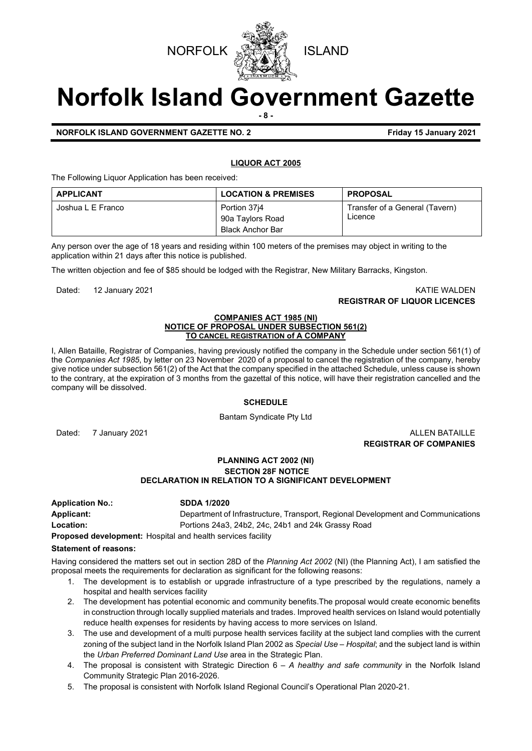

## **Norfolk Island Government Gazette - 8 -**

**NORFOLK ISLAND GOVERNMENT GAZETTE NO. 2 Example 2021 Friday 15 January 2021** 

#### **LIQUOR ACT 2005**

The Following Liquor Application has been received:

| <b>APPLICANT</b>  | <b>LOCATION &amp; PREMISES</b>                              | <b>PROPOSAL</b>                           |
|-------------------|-------------------------------------------------------------|-------------------------------------------|
| Joshua L E Franco | Portion 3714<br>90a Taylors Road<br><b>Black Anchor Bar</b> | Transfer of a General (Tavern)<br>Licence |

Any person over the age of 18 years and residing within 100 meters of the premises may object in writing to the application within 21 days after this notice is published.

The written objection and fee of \$85 should be lodged with the Registrar, New Military Barracks, Kingston.

Dated: 12 January 2021 KATIE WALDEN **REGISTRAR OF LIQUOR LICENCES**

#### **COMPANIES ACT 1985 (NI) NOTICE OF PROPOSAL UNDER SUBSECTION 561(2) TO CANCEL REGISTRATION of A COMPANY**

I, Allen Bataille, Registrar of Companies, having previously notified the company in the Schedule under section 561(1) of the *Companies Act 1985*, by letter on 23 November 2020 of a proposal to cancel the registration of the company, hereby give notice under subsection 561(2) of the Act that the company specified in the attached Schedule, unless cause is shown to the contrary, at the expiration of 3 months from the gazettal of this notice, will have their registration cancelled and the company will be dissolved.

#### **SCHEDULE**

Bantam Syndicate Pty Ltd

Dated: 7 January 2021 **ALLEN BATAILLE** 

**REGISTRAR OF COMPANIES**

#### **PLANNING ACT 2002 (NI) SECTION 28F NOTICE DECLARATION IN RELATION TO A SIGNIFICANT DEVELOPMENT**

**Application No.: SDDA 1/2020 Applicant:** Department of Infrastructure, Transport, Regional Development and Communications **Location:** Portions 24a3, 24b2, 24c, 24b1 and 24k Grassy Road

**Proposed development:** Hospital and health services facility

#### **Statement of reasons:**

Having considered the matters set out in section 28D of the *Planning Act 2002* (NI) (the Planning Act), I am satisfied the proposal meets the requirements for declaration as significant for the following reasons:

- 1. The development is to establish or upgrade infrastructure of a type prescribed by the regulations, namely a hospital and health services facility
- 2. The development has potential economic and community benefits.The proposal would create economic benefits in construction through locally supplied materials and trades. Improved health services on Island would potentially reduce health expenses for residents by having access to more services on Island.
- 3. The use and development of a multi purpose health services facility at the subject land complies with the current zoning of the subject land in the Norfolk Island Plan 2002 as *Special Use – Hospital*; and the subject land is within the *Urban Preferred Dominant Land Use* area in the Strategic Plan.
- 4. The proposal is consistent with Strategic Direction 6 *A healthy and safe community* in the Norfolk Island Community Strategic Plan 2016-2026.
- 5. The proposal is consistent with Norfolk Island Regional Council's Operational Plan 2020-21.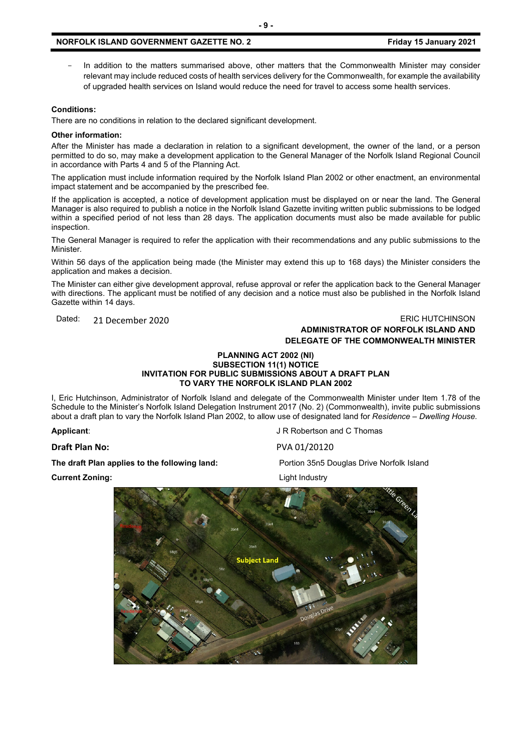#### **NORFOLK ISLAND GOVERNMENT GAZETTE NO. 2** *CONTRESS 60 THE STAND 15 January 2021*

In addition to the matters summarised above, other matters that the Commonwealth Minister may consider relevant may include reduced costs of health services delivery for the Commonwealth, for example the availability of upgraded health services on Island would reduce the need for travel to access some health services.

#### **Conditions:**

There are no conditions in relation to the declared significant development.

#### **Other information:**

After the Minister has made a declaration in relation to a significant development, the owner of the land, or a person permitted to do so, may make a development application to the General Manager of the Norfolk Island Regional Council in accordance with Parts 4 and 5 of the Planning Act.

The application must include information required by the Norfolk Island Plan 2002 or other enactment, an environmental impact statement and be accompanied by the prescribed fee.

If the application is accepted, a notice of development application must be displayed on or near the land. The General Manager is also required to publish a notice in the Norfolk Island Gazette inviting written public submissions to be lodged within a specified period of not less than 28 days. The application documents must also be made available for public inspection.

The General Manager is required to refer the application with their recommendations and any public submissions to the Minister.

Within 56 days of the application being made (the Minister may extend this up to 168 days) the Minister considers the application and makes a decision.

The Minister can either give development approval, refuse approval or refer the application back to the General Manager with directions. The applicant must be notified of any decision and a notice must also be published in the Norfolk Island Gazette within 14 days.

### Dated: 21 December 2020 20 20 ERIC HUTCHINSON **ADMINISTRATOR OF NORFOLK ISLAND AND**

# **DELEGATE OF THE COMMONWEALTH MINISTER**

#### **PLANNING ACT 2002 (NI) SUBSECTION 11(1) NOTICE INVITATION FOR PUBLIC SUBMISSIONS ABOUT A DRAFT PLAN TO VARY THE NORFOLK ISLAND PLAN 2002**

I, Eric Hutchinson, Administrator of Norfolk Island and delegate of the Commonwealth Minister under Item 1.78 of the Schedule to the Minister's Norfolk Island Delegation Instrument 2017 (No. 2) (Commonwealth), invite public submissions about a draft plan to vary the Norfolk Island Plan 2002, to allow use of designated land for *Residence – Dwelling House.* 

**Draft Plan No:** PVA 01/20120

**The draft Plan applies to the following land:** Portion 35n5 Douglas Drive Norfolk Island

**Current Zoning:** Light Industry

**Applicant:** Applicant: Applicant: Applicant: Applicant: Applicant: Applicant: Applicant: Applicant: Applicant: Applicant: Applicant: Applicant: Applicant: Applicant: Applicant: Applicant: Applicant: Applicant: Applicant:



**- 9 -**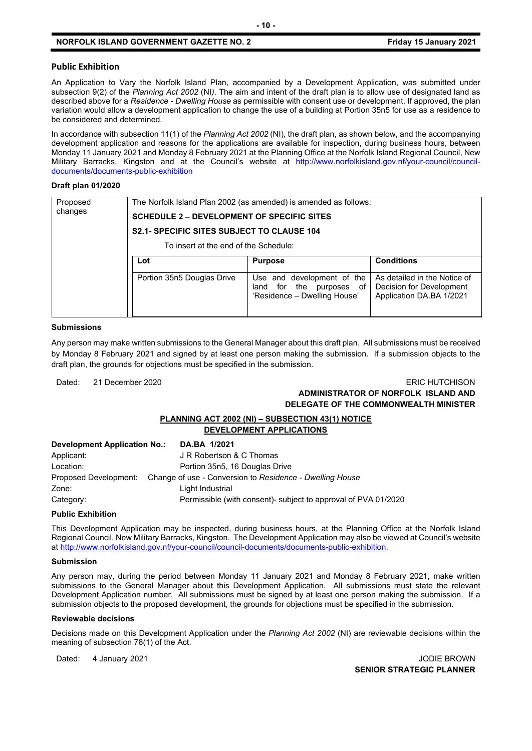#### **NORFOLK ISLAND GOVERNMENT GAZETTE NO. 2 Friday 15 January 2021**

#### **Public Exhibition**

An Application to Vary the Norfolk Island Plan, accompanied by a Development Application, was submitted under subsection 9(2) of the *Planning Act 2002* (NI*)*. The aim and intent of the draft plan is to allow use of designated land as described above for a *Residence - Dwelling House* as permissible with consent use or development. If approved, the plan variation would allow a development application to change the use of a building at Portion 35n5 for use as a residence to be considered and determined.

In accordance with subsection 11(1) of the *Planning Act 2002* (NI), the draft plan, as shown below, and the accompanying development application and reasons for the applications are available for inspection, during business hours, between Monday 11 January 2021 and Monday 8 February 2021 at the Planning Office at the Norfolk Island Regional Council, New Military Barracks, Kingston and at the Council's website at [http://www.norfolkisland.gov.nf/your-council/council](http://www.norfolkisland.gov.nf/your-council/council-documents/documents-public-exhibition)[documents/documents-public-exhibition](http://www.norfolkisland.gov.nf/your-council/council-documents/documents-public-exhibition)

#### **Draft plan 01/2020**

| Proposed<br>changes | The Norfolk Island Plan 2002 (as amended) is amended as follows:<br><b>SCHEDULE 2 - DEVELOPMENT OF SPECIFIC SITES</b> |                                                                                           |                                                                                      |  |  |
|---------------------|-----------------------------------------------------------------------------------------------------------------------|-------------------------------------------------------------------------------------------|--------------------------------------------------------------------------------------|--|--|
|                     |                                                                                                                       |                                                                                           |                                                                                      |  |  |
|                     | <b>S2.1- SPECIFIC SITES SUBJECT TO CLAUSE 104</b>                                                                     |                                                                                           |                                                                                      |  |  |
|                     | To insert at the end of the Schedule:                                                                                 |                                                                                           |                                                                                      |  |  |
|                     | Lot                                                                                                                   | <b>Purpose</b>                                                                            | <b>Conditions</b>                                                                    |  |  |
|                     | Portion 35n5 Douglas Drive                                                                                            | Use and development of the<br>land for the<br>purposes of<br>'Residence - Dwelling House' | As detailed in the Notice of<br>Decision for Development<br>Application DA.BA 1/2021 |  |  |

#### **Submissions**

Any person may make written submissions to the General Manager about this draft plan. All submissions must be received by Monday 8 February 2021 and signed by at least one person making the submission. If a submission objects to the draft plan, the grounds for objections must be specified in the submission.

#### Dated: 21 December 2020 ERIC HUTCHISON **ADMINISTRATOR OF NORFOLK ISLAND AND DELEGATE OF THE COMMONWEALTH MINISTER**

#### **PLANNING ACT 2002 (NI) – SUBSECTION 43(1) NOTICE DEVELOPMENT APPLICATIONS**

| Development Application No.: | DA.BA 1/2021                                                                   |
|------------------------------|--------------------------------------------------------------------------------|
| Applicant:                   | J R Robertson & C Thomas                                                       |
| Location:                    | Portion 35n5, 16 Douglas Drive                                                 |
|                              | Proposed Development: Change of use - Conversion to Residence - Dwelling House |
| Zone:                        | Light Industrial                                                               |
| Category:                    | Permissible (with consent)- subject to approval of PVA 01/2020                 |

#### **Public Exhibition**

This Development Application may be inspected, during business hours, at the Planning Office at the Norfolk Island Regional Council, New Military Barracks, Kingston. The Development Application may also be viewed at Council's website a[t http://www.norfolkisland.gov.nf/your-council/council-documents/documents-public-exhibition.](http://www.norfolkisland.gov.nf/your-council/council-documents/documents-public-exhibition) 

#### **Submission**

Any person may, during the period between Monday 11 January 2021 and Monday 8 February 2021, make written submissions to the General Manager about this Development Application. All submissions must state the relevant Development Application number. All submissions must be signed by at least one person making the submission. If a submission objects to the proposed development, the grounds for objections must be specified in the submission.

#### **Reviewable decisions**

Decisions made on this Development Application under the *Planning Act 2002* (NI) are reviewable decisions within the meaning of subsection 78(1) of the Act.

Dated: 4 January 2021 **Dates: 1999** JODIE BROWN **SENIOR STRATEGIC PLANNER**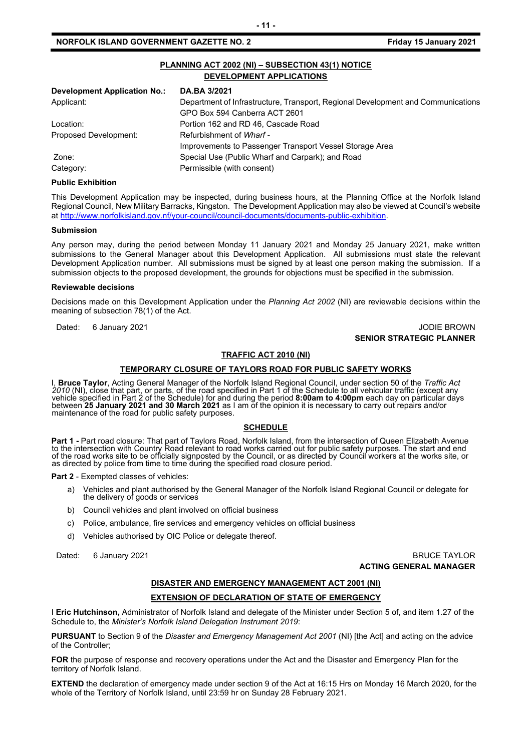#### **NORFOLK ISLAND GOVERNMENT GAZETTE NO. 2** *CONTRESS 60 THE STAND 15 January 2021*

| PLANNING ACT 2002 (NI) - SUBSECTION 43(1) NOTICE<br><b>DEVELOPMENT APPLICATIONS</b> |                                                                                  |  |  |  |
|-------------------------------------------------------------------------------------|----------------------------------------------------------------------------------|--|--|--|
| Development Application No.:                                                        | DA.BA 3/2021                                                                     |  |  |  |
| Applicant:                                                                          | Department of Infrastructure, Transport, Regional Development and Communications |  |  |  |
|                                                                                     | GPO Box 594 Canberra ACT 2601                                                    |  |  |  |
| Location:                                                                           | Portion 162 and RD 46, Cascade Road                                              |  |  |  |
| Proposed Development:                                                               | Refurbishment of Wharf -                                                         |  |  |  |
|                                                                                     | Improvements to Passenger Transport Vessel Storage Area                          |  |  |  |
| Zone:                                                                               | Special Use (Public Wharf and Carpark); and Road                                 |  |  |  |
| Category:                                                                           | Permissible (with consent)                                                       |  |  |  |

#### **Public Exhibition**

This Development Application may be inspected, during business hours, at the Planning Office at the Norfolk Island Regional Council, New Military Barracks, Kingston. The Development Application may also be viewed at Council's website a[t http://www.norfolkisland.gov.nf/your-council/council-documents/documents-public-exhibition.](http://www.norfolkisland.gov.nf/your-council/council-documents/documents-public-exhibition) 

#### **Submission**

Any person may, during the period between Monday 11 January 2021 and Monday 25 January 2021, make written submissions to the General Manager about this Development Application. All submissions must state the relevant Development Application number. All submissions must be signed by at least one person making the submission. If a submission objects to the proposed development, the grounds for objections must be specified in the submission.

#### **Reviewable decisions**

Decisions made on this Development Application under the *Planning Act 2002* (NI) are reviewable decisions within the meaning of subsection 78(1) of the Act.

#### Dated: 6 January 2021 **Journal of American Control of American Control of American Control of American Control of American Control of American Control of American Control of American Control of American Control of American SENIOR STRATEGIC PLANNER**

#### **TRAFFIC ACT 2010 (NI)**

#### **TEMPORARY CLOSURE OF TAYLORS ROAD FOR PUBLIC SAFETY WORKS**

I, **Bruce Taylor**, Acting General Manager of the Norfolk Island Regional Council, under section 50 of the *Traffic Act 2010* (NI), close that part, or parts, of the road specified in Part 1 of the Schedule to all vehicular traffic (except any vehicle specified in Part 2 of the Schedule) for and during the period **8:00am to 4:00pm** each day on particular days between **25 January 2021 and 30 March 2021** as I am of the opinion it is necessary to carry out repairs and/or maintenance of the road for public safety purposes.

#### **SCHEDULE**

**Part 1 -** Part road closure: That part of Taylors Road, Norfolk Island, from the intersection of Queen Elizabeth Avenue<br>to the intersection with Country Road relevant to road works carried out for public safety purposes. of the road works site to be officially signposted by the Council, or as directed by Council workers at the works site, or as directed by police from time to time during the specified road closure period.

**Part 2** - Exempted classes of vehicles:

- a) Vehicles and plant authorised by the General Manager of the Norfolk Island Regional Council or delegate for the delivery of goods or services
- b) Council vehicles and plant involved on official business
- c) Police, ambulance, fire services and emergency vehicles on official business
- d) Vehicles authorised by OIC Police or delegate thereof.

#### Dated: 6 January 2021 **BRUCE TAYLOR ACTING GENERAL MANAGER**

#### **DISASTER AND EMERGENCY MANAGEMENT ACT 2001 (NI)**

#### **EXTENSION OF DECLARATION OF STATE OF EMERGENCY**

I **Eric Hutchinson,** Administrator of Norfolk Island and delegate of the Minister under Section 5 of, and item 1.27 of the Schedule to, the *Minister's Norfolk Island Delegation Instrument 2019*:

**PURSUANT** to Section 9 of the *Disaster and Emergency Management Act 2001* (NI) [the Act] and acting on the advice of the Controller;

**FOR** the purpose of response and recovery operations under the Act and the Disaster and Emergency Plan for the territory of Norfolk Island.

**EXTEND** the declaration of emergency made under section 9 of the Act at 16:15 Hrs on Monday 16 March 2020, for the whole of the Territory of Norfolk Island, until 23:59 hr on Sunday 28 February 2021.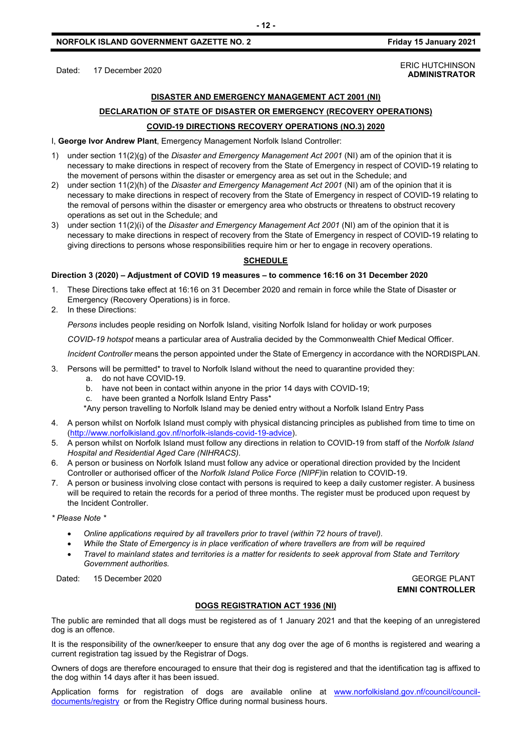#### Dated: 17 December 2020<br>Dated: 17 December 2020 **ADMINISTRATOR**

### **DISASTER AND EMERGENCY MANAGEMENT ACT 2001 (NI) DECLARATION OF STATE OF DISASTER OR EMERGENCY (RECOVERY OPERATIONS) COVID-19 DIRECTIONS RECOVERY OPERATIONS (NO.3) 2020**

I, **George Ivor Andrew Plant**, Emergency Management Norfolk Island Controller:

- 1) under section 11(2)(g) of the *Disaster and Emergency Management Act 2001* (NI) am of the opinion that it is necessary to make directions in respect of recovery from the State of Emergency in respect of COVID-19 relating to the movement of persons within the disaster or emergency area as set out in the Schedule; and
- 2) under section 11(2)(h) of the *Disaster and Emergency Management Act 2001* (NI) am of the opinion that it is necessary to make directions in respect of recovery from the State of Emergency in respect of COVID-19 relating to the removal of persons within the disaster or emergency area who obstructs or threatens to obstruct recovery operations as set out in the Schedule; and
- 3) under section 11(2)(i) of the *Disaster and Emergency Management Act 2001* (NI) am of the opinion that it is necessary to make directions in respect of recovery from the State of Emergency in respect of COVID-19 relating to giving directions to persons whose responsibilities require him or her to engage in recovery operations.

#### **SCHEDULE**

#### **Direction 3 (2020) – Adjustment of COVID 19 measures – to commence 16:16 on 31 December 2020**

- 1. These Directions take effect at 16:16 on 31 December 2020 and remain in force while the State of Disaster or Emergency (Recovery Operations) is in force.
- 2. In these Directions:

*Persons* includes people residing on Norfolk Island, visiting Norfolk Island for holiday or work purposes

*COVID-19 hotspot* means a particular area of Australia decided by the Commonwealth Chief Medical Officer.

*Incident Controller* means the person appointed under the State of Emergency in accordance with the NORDISPLAN.

- 3. Persons will be permitted\* to travel to Norfolk Island without the need to quarantine provided they:
	- a. do not have COVID-19.
	- b. have not been in contact within anyone in the prior 14 days with COVID-19;
	- c. have been granted a Norfolk Island Entry Pass\*

\*Any person travelling to Norfolk Island may be denied entry without a Norfolk Island Entry Pass

- 4. A person whilst on Norfolk Island must comply with physical distancing principles as published from time to time on [\(http://www.norfolkisland.gov.nf/norfolk-islands-covid-19-advice\)](http://www.norfolkisland.gov.nf/norfolk-islands-covid-19-advice).
- 5. A person whilst on Norfolk Island must follow any directions in relation to COVID-19 from staff of the *Norfolk Island Hospital and Residential Aged Care (NIHRACS).*
- 6. A person or business on Norfolk Island must follow any advice or operational direction provided by the Incident Controller or authorised officer of the *Norfolk Island Police Force (NIPF)*in relation to COVID-19.
- 7. A person or business involving close contact with persons is required to keep a daily customer register. A business will be required to retain the records for a period of three months. The register must be produced upon request by the Incident Controller.

*\* Please Note \** 

- *Online applications required by all travellers prior to travel (within 72 hours of travel).*
- *While the State of Emergency is in place verification of where travellers are from will be required*
- *Travel to mainland states and territories is a matter for residents to seek approval from State and Territory Government authorities.*

Dated: 15 December 2020 GEORGE PLANT

**EMNI CONTROLLER**

#### **DOGS REGISTRATION ACT 1936 (NI)**

The public are reminded that all dogs must be registered as of 1 January 2021 and that the keeping of an unregistered dog is an offence.

It is the responsibility of the owner/keeper to ensure that any dog over the age of 6 months is registered and wearing a current registration tag issued by the Registrar of Dogs.

Owners of dogs are therefore encouraged to ensure that their dog is registered and that the identification tag is affixed to the dog within 14 days after it has been issued.

Application forms for registration of dogs are available online at [www.norfolkisland.gov.nf/council/council](http://www.norfolkisland.gov.nf/council/council-documents/registry)[documents/registry](http://www.norfolkisland.gov.nf/council/council-documents/registry) or from the Registry Office during normal business hours.